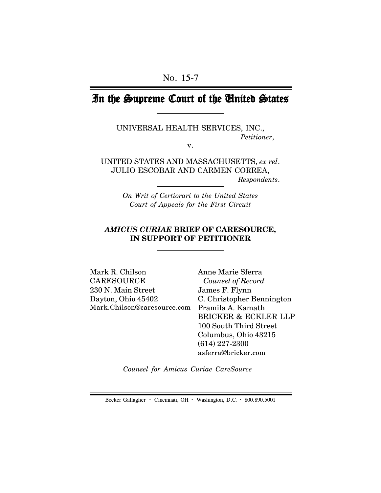# In the Supreme Court of the United States

UNIVERSAL HEALTH SERVICES, INC., *Petitioner*,

v.

UNITED STATES AND MASSACHUSETTS, *ex rel*. JULIO ESCOBAR AND CARMEN CORREA,  *Respondents*.

> *On Writ of Certiorari to the United States Court of Appeals for the First Circuit*

## *AMICUS CURIAE* **BRIEF OF CARESOURCE, IN SUPPORT OF PETITIONER**

Mark.Chilson@caresource.com Pramila A. Kamath Mark R. Chilson **CARESOURCE** 230 N. Main Street Dayton, Ohio 45402

Anne Marie Sferra  *Counsel of Record* James F. Flynn C. Christopher Bennington BRICKER & ECKLER LLP 100 South Third Street Columbus, Ohio 43215 (614) 227-2300 asferra@bricker.com

*Counsel for Amicus Curiae CareSource*

Becker Gallagher **·** Cincinnati, OH **·** Washington, D.C. **·** 800.890.5001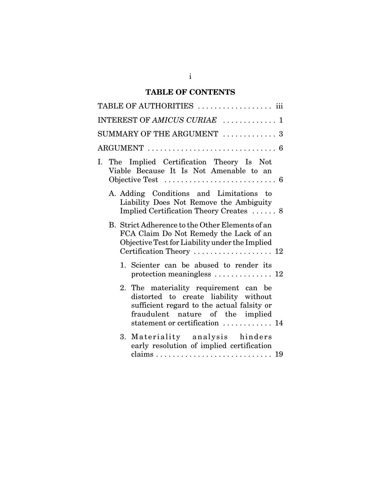## **TABLE OF CONTENTS**

| TABLE OF AUTHORITIES  iii    |                                                                                                                                                                                                    |  |  |  |  |
|------------------------------|----------------------------------------------------------------------------------------------------------------------------------------------------------------------------------------------------|--|--|--|--|
| INTEREST OF AMICUS CURIAE  1 |                                                                                                                                                                                                    |  |  |  |  |
| SUMMARY OF THE ARGUMENT  3   |                                                                                                                                                                                                    |  |  |  |  |
|                              |                                                                                                                                                                                                    |  |  |  |  |
|                              | I. The Implied Certification Theory Is Not<br>Viable Because It Is Not Amenable to an                                                                                                              |  |  |  |  |
|                              | A. Adding Conditions and Limitations to<br>Liability Does Not Remove the Ambiguity<br>Implied Certification Theory Creates  8                                                                      |  |  |  |  |
|                              | B. Strict Adherence to the Other Elements of an<br>FCA Claim Do Not Remedy the Lack of an<br>Objective Test for Liability under the Implied                                                        |  |  |  |  |
|                              | 1. Scienter can be abused to render its<br>protection meaningless $\ldots \ldots \ldots \ldots 12$                                                                                                 |  |  |  |  |
|                              | 2. The materiality requirement can be<br>distorted to create liability without<br>sufficient regard to the actual falsity or<br>fraudulent nature of the implied<br>statement or certification  14 |  |  |  |  |
|                              | 3. Materiality analysis hinders<br>early resolution of implied certification                                                                                                                       |  |  |  |  |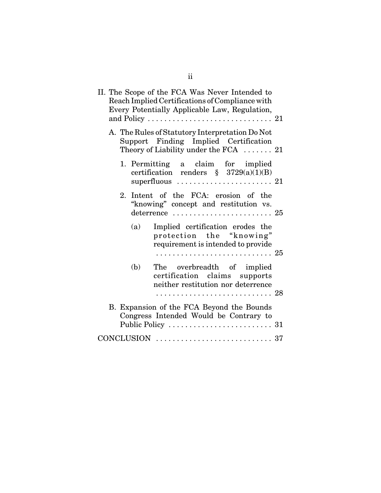|  |     | II. The Scope of the FCA Was Never Intended to<br>Reach Implied Certifications of Compliance with<br>Every Potentially Applicable Law, Regulation,                 |  |
|--|-----|--------------------------------------------------------------------------------------------------------------------------------------------------------------------|--|
|  |     | A. The Rules of Statutory Interpretation Do Not<br>Support Finding Implied Certification<br>Theory of Liability under the FCA $\ldots$ 21                          |  |
|  |     | 1. Permitting a claim for implied<br>certification renders $\S$ 3729(a)(1)(B)<br>superfluous $\ldots \ldots \ldots \ldots \ldots \ldots 21$                        |  |
|  |     | 2. Intent of the FCA: erosion of the<br>"knowing" concept and restitution vs.<br>deterrence $\ldots \ldots \ldots \ldots \ldots \ldots \ldots 25$                  |  |
|  | (a) | Implied certification erodes the<br>protection the "knowing"<br>requirement is intended to provide                                                                 |  |
|  | (b) | The overbreadth of implied<br>certification claims supports<br>neither restitution nor deterrence                                                                  |  |
|  |     | B. Expansion of the FCA Beyond the Bounds<br>Congress Intended Would be Contrary to<br>Public Policy $\dots \dots \dots \dots \dots \dots \dots \dots \dots \dots$ |  |
|  |     |                                                                                                                                                                    |  |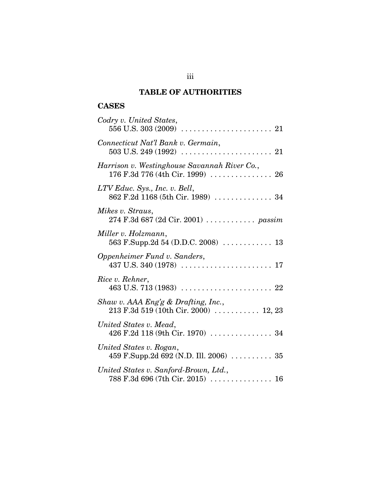## **TABLE OF AUTHORITIES**

## **CASES**

| Codry v. United States,                                                                                                                                              |
|----------------------------------------------------------------------------------------------------------------------------------------------------------------------|
| Connecticut Nat'l Bank v. Germain,                                                                                                                                   |
| Harrison v. Westinghouse Savannah River Co.,<br>176 F.3d 776 (4th Cir. 1999)  26                                                                                     |
| LTV Educ. Sys., Inc. v. Bell,<br>862 F.2d 1168 (5th Cir. 1989)  34                                                                                                   |
| Mikes v. Straus,<br>274 F.3d 687 (2d Cir. 2001)  passim                                                                                                              |
| Miller v. Holzmann,                                                                                                                                                  |
| Oppenheimer Fund v. Sanders,                                                                                                                                         |
| Rice v. Rehner,                                                                                                                                                      |
| Shaw v. AAA $Eng'g \& Draffing, Inc.,$<br>213 F.3d 519 (10th Cir. 2000)  12, 23                                                                                      |
| United States v. Mead,<br>426 F.2d 118 (9th Cir. 1970)  34                                                                                                           |
| United States v. Rogan,<br>459 F.Supp.2d 692 (N.D. Ill. 2006)  35                                                                                                    |
| United States v. Sanford-Brown, Ltd.,<br>$788 \text{ F.}3d \text{ }696 \text{ } (7th \text{ Cir. }2015) \text{ } \dots \dots \dots \dots \dots \dots \dots \dots 16$ |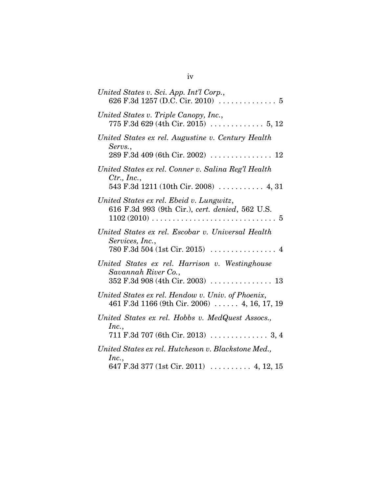| United States v. Sci. App. Int'l Corp.,<br>626 F.3d 1257 (D.C. Cir. 2010) $\ldots \ldots \ldots \ldots 5$                                                     |
|---------------------------------------------------------------------------------------------------------------------------------------------------------------|
| United States v. Triple Canopy, Inc.,                                                                                                                         |
| United States ex rel. Augustine v. Century Health<br>Servs.,                                                                                                  |
| United States ex rel. Conner v. Salina Reg'l Health<br>Ctr., Inc.,<br>543 F.3d 1211 (10th Cir. 2008)  4, 31                                                   |
| United States ex rel. Ebeid v. Lungwitz,<br>616 F.3d 993 (9th Cir.), cert. denied, 562 U.S.                                                                   |
| United States ex rel. Escobar v. Universal Health<br>Services, Inc.,<br>$780 \text{ F.}3d 504 \text{ (1st Cir. } 2015) \dots \dots \dots \dots \dots \dots 4$ |
| United States ex rel. Harrison v. Westinghouse<br>Savannah River Co.,                                                                                         |
| United States ex rel. Hendow v. Univ. of Phoenix,<br>461 F.3d 1166 (9th Cir. 2006) $\ldots$ 4, 16, 17, 19                                                     |
| United States ex rel. Hobbs v. MedQuest Assocs.,<br>Inc.,                                                                                                     |
| United States ex rel. Hutcheson v. Blackstone Med.,<br>Inc.,<br>647 F.3d 377 (1st Cir. 2011)  4, 12, 15                                                       |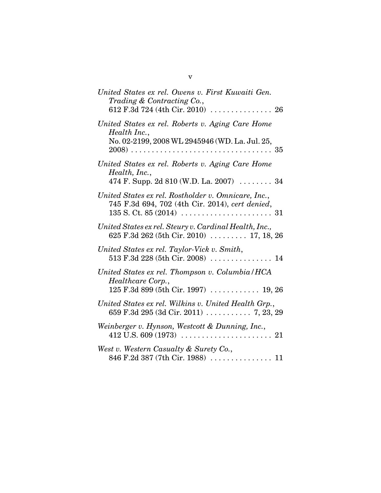| United States ex rel. Owens v. First Kuwaiti Gen.<br>Trading & Contracting Co.,<br>612 F.3d 724 (4th Cir. 2010) $\ldots \ldots \ldots \ldots \ldots$ 26 |
|---------------------------------------------------------------------------------------------------------------------------------------------------------|
| United States ex rel. Roberts v. Aging Care Home<br>Health Inc.,<br>No. 02-2199, 2008 WL 2945946 (WD. La. Jul. 25,                                      |
| United States ex rel. Roberts v. Aging Care Home<br>Health, Inc.,<br>474 F. Supp. 2d 810 (W.D. La. 2007) $\ldots$ 34                                    |
| United States ex rel. Rostholder v. Omnicare, Inc.,<br>745 F.3d 694, 702 (4th Cir. 2014), cert denied,                                                  |
| United States ex rel. Steury v. Cardinal Health, Inc.,<br>625 F.3d 262 (5th Cir. 2010) $\ldots$ 17, 18, 26                                              |
| United States ex rel. Taylor-Vick v. Smith,                                                                                                             |
| United States ex rel. Thompson v. Columbia/HCA<br>Healthcare Corp.,<br>$125$ F.3d 899 (5th Cir. 1997)  19, 26                                           |
| United States ex rel. Wilkins v. United Health Grp.,                                                                                                    |
| Weinberger v. Hynson, Westcott & Dunning, Inc.,                                                                                                         |
| West v. Western Casualty & Surety Co.,                                                                                                                  |

v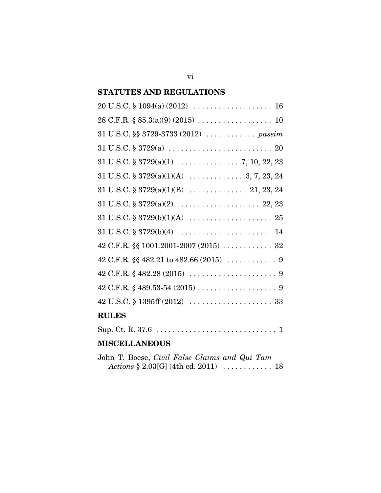## **STATUTES AND REGULATIONS**

| 31 U.S.C. §§ 3729-3733 (2012)  passim                                                         |
|-----------------------------------------------------------------------------------------------|
|                                                                                               |
|                                                                                               |
|                                                                                               |
|                                                                                               |
|                                                                                               |
|                                                                                               |
| $31 \text{ U.S.C.} \$ $3729(b)(4) \ldots \ldots \ldots \ldots \ldots \ldots \ldots \ldots 14$ |
|                                                                                               |
|                                                                                               |
|                                                                                               |
|                                                                                               |
|                                                                                               |
| <b>RULES</b>                                                                                  |
|                                                                                               |

## **MISCELLANEOUS**

| John T. Boese, Civil False Claims and Qui Tam |  |  |  |  |
|-----------------------------------------------|--|--|--|--|
|                                               |  |  |  |  |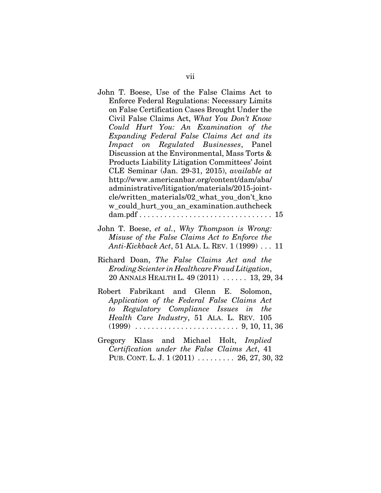John T. Boese, Use of the False Claims Act to Enforce Federal Regulations: Necessary Limits on False Certification Cases Brought Under the Civil False Claims Act, *What You Don't Know Could Hurt You: An Examination of the Expanding Federal False Claims Act and its Impact on Regulated Businesses*, Panel Discussion at the Environmental, Mass Torts & Products Liability Litigation Committees' Joint CLE Seminar (Jan. 29-31, 2015), *available at* http://www.americanbar.org/content/dam/aba/ administrative/litigation/materials/2015-jointcle/written\_materials/02\_what\_you\_don't\_kno w\_could\_hurt\_you\_an\_examination.authcheck dam.pdf  $\dots \dots \dots \dots \dots \dots \dots \dots \dots \dots \dots \dots \dots \dots \dots \dots \dots$ 

- John T. Boese, *et al.*, *Why Thompson is Wrong: Misuse of the False Claims Act to Enforce the Anti-Kickback Act*, 51 ALA. L. REV. 1 (1999) . . . 11
- Richard Doan, *The False Claims Act and the Eroding Scienter in Healthcare Fraud Litigation*, 20 ANNALS HEALTH L. 49 (2011) . . . . . . 13, 29, 34
- Robert Fabrikant and Glenn E. Solomon, *Application of the Federal False Claims Act to Regulatory Compliance Issues in the Health Care Industry*, 51 ALA. L. REV. 105 (1999) . . . . . . . . . . . . . . . . . . . . . . . . . 9, 10, 11, 36
- Gregory Klass and Michael Holt, *Implied Certification under the False Claims Act*, 41 PUB. CONT. L. J. 1 (2011) . . . . . . . . . 26, 27, 30, 32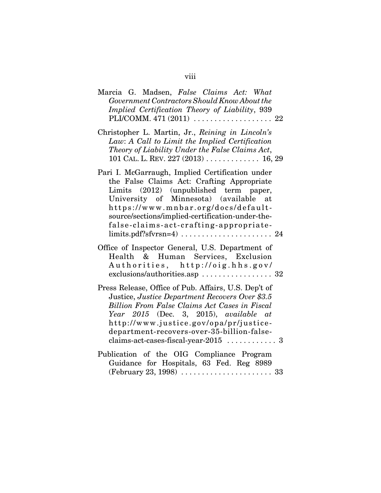| Marcia G. Madsen, False Claims Act: What<br>Government Contractors Should Know About the                                                                                                                                                                                                                               |
|------------------------------------------------------------------------------------------------------------------------------------------------------------------------------------------------------------------------------------------------------------------------------------------------------------------------|
| Implied Certification Theory of Liability, 939                                                                                                                                                                                                                                                                         |
| Christopher L. Martin, Jr., Reining in Lincoln's<br>Law: A Call to Limit the Implied Certification<br>Theory of Liability Under the False Claims Act,<br>101 CAL. L. REV. $227(2013)$ 16, 29                                                                                                                           |
| Pari I. McGarraugh, Implied Certification under<br>the False Claims Act: Crafting Appropriate<br>Limits (2012) (unpublished term paper,<br>University of Minnesota) (available at<br>https://www.mnbar.org/docs/default-<br>source/sections/implied-certification-under-the-<br>false-claims-act-crafting-appropriate- |
| Office of Inspector General, U.S. Department of<br>Health & Human Services, Exclusion<br>Authorities, http://oig.hhs.gov/                                                                                                                                                                                              |
| Press Release, Office of Pub. Affairs, U.S. Dep't of<br>Justice, Justice Department Recovers Over \$3.5<br>Billion From False Claims Act Cases in Fiscal<br>Year 2015 (Dec. 3, 2015), available at<br>http://www.justice.gov/opa/pr/justice-<br>department-recovers-over-35-billion-false-                             |

Publication of the OIG Compliance Program Guidance for Hospitals, 63 Fed. Reg 8989 (February 23, 1998) . . . . . . . . . . . . . . . . . . . . . . 33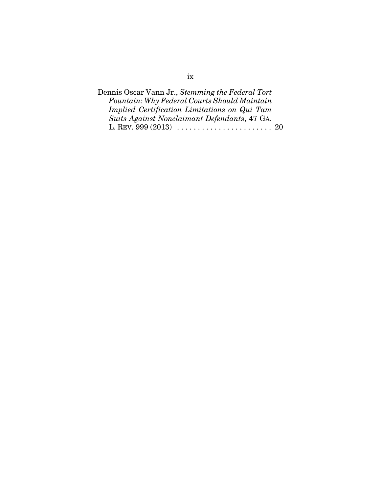| Dennis Oscar Vann Jr., Stemming the Federal Tort |
|--------------------------------------------------|
| Fountain: Why Federal Courts Should Maintain     |
| Implied Certification Limitations on Qui Tam     |
| Suits Against Nonclaimant Defendants, 47 GA.     |
|                                                  |

## ix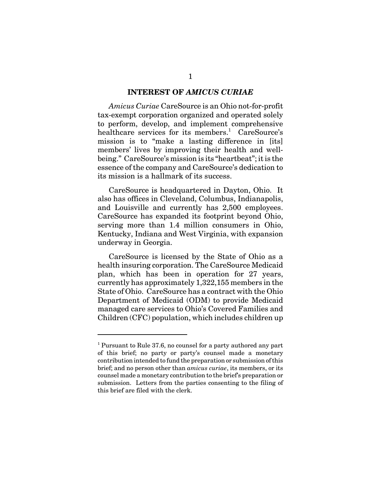#### **INTEREST OF** *AMICUS CURIAE*

*Amicus Curiae* CareSource is an Ohio not-for-profit tax-exempt corporation organized and operated solely to perform, develop, and implement comprehensive healthcare services for its members.<sup>1</sup> CareSource's mission is to "make a lasting difference in [its] members' lives by improving their health and wellbeing." CareSource's mission is its "heartbeat"; it is the essence of the company and CareSource's dedication to its mission is a hallmark of its success.

CareSource is headquartered in Dayton, Ohio. It also has offices in Cleveland, Columbus, Indianapolis, and Louisville and currently has 2,500 employees. CareSource has expanded its footprint beyond Ohio, serving more than 1.4 million consumers in Ohio, Kentucky, Indiana and West Virginia, with expansion underway in Georgia.

CareSource is licensed by the State of Ohio as a health insuring corporation. The CareSource Medicaid plan, which has been in operation for 27 years, currently has approximately 1,322,155 members in the State of Ohio. CareSource has a contract with the Ohio Department of Medicaid (ODM) to provide Medicaid managed care services to Ohio's Covered Families and Children (CFC) population, which includes children up

<sup>&</sup>lt;sup>1</sup> Pursuant to Rule 37.6, no counsel for a party authored any part of this brief; no party or party's counsel made a monetary contribution intended to fund the preparation or submission of this brief; and no person other than *amicus curiae*, its members, or its counsel made a monetary contribution to the brief's preparation or submission. Letters from the parties consenting to the filing of this brief are filed with the clerk.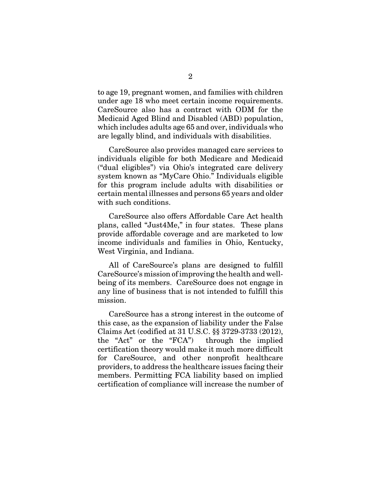to age 19, pregnant women, and families with children under age 18 who meet certain income requirements. CareSource also has a contract with ODM for the Medicaid Aged Blind and Disabled (ABD) population, which includes adults age 65 and over, individuals who are legally blind, and individuals with disabilities.

CareSource also provides managed care services to individuals eligible for both Medicare and Medicaid ("dual eligibles") via Ohio's integrated care delivery system known as "MyCare Ohio." Individuals eligible for this program include adults with disabilities or certain mental illnesses and persons 65 years and older with such conditions.

CareSource also offers Affordable Care Act health plans, called "Just4Me," in four states. These plans provide affordable coverage and are marketed to low income individuals and families in Ohio, Kentucky, West Virginia, and Indiana.

All of CareSource's plans are designed to fulfill CareSource's mission of improving the health and wellbeing of its members. CareSource does not engage in any line of business that is not intended to fulfill this mission.

CareSource has a strong interest in the outcome of this case, as the expansion of liability under the False Claims Act (codified at 31 U.S.C. §§ 3729-3733 (2012), the "Act" or the "FCA") through the implied certification theory would make it much more difficult for CareSource, and other nonprofit healthcare providers, to address the healthcare issues facing their members. Permitting FCA liability based on implied certification of compliance will increase the number of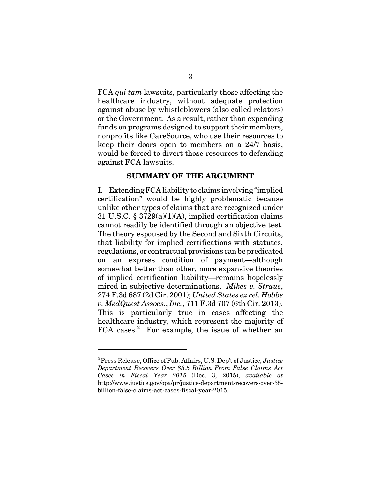FCA *qui tam* lawsuits, particularly those affecting the healthcare industry, without adequate protection against abuse by whistleblowers (also called relators) or the Government. As a result, rather than expending funds on programs designed to support their members, nonprofits like CareSource, who use their resources to keep their doors open to members on a 24/7 basis, would be forced to divert those resources to defending against FCA lawsuits.

#### **SUMMARY OF THE ARGUMENT**

I. Extending FCA liability to claims involving "implied certification" would be highly problematic because unlike other types of claims that are recognized under 31 U.S.C. § 3729(a)(1)(A), implied certification claims cannot readily be identified through an objective test. The theory espoused by the Second and Sixth Circuits, that liability for implied certifications with statutes, regulations, or contractual provisions can be predicated on an express condition of payment—although somewhat better than other, more expansive theories of implied certification liability—remains hopelessly mired in subjective determinations. *Mikes v. Straus*, 274 F.3d 687 (2d Cir. 2001); *United States ex rel. Hobbs v. MedQuest Assocs.*, *Inc.*, 711 F.3d 707 (6th Cir. 2013). This is particularly true in cases affecting the healthcare industry, which represent the majority of FCA cases.<sup>2</sup> For example, the issue of whether an

<sup>2</sup> Press Release, Office of Pub. Affairs, U.S. Dep't of Justice, *Justice Department Recovers Over \$3.5 Billion From False Claims Act Cases in Fiscal Year 2015* (Dec. 3, 2015), *available at*  http://www.justice.gov/opa/pr/justice-department-recovers-over-35 billion-false-claims-act-cases-fiscal-year-2015.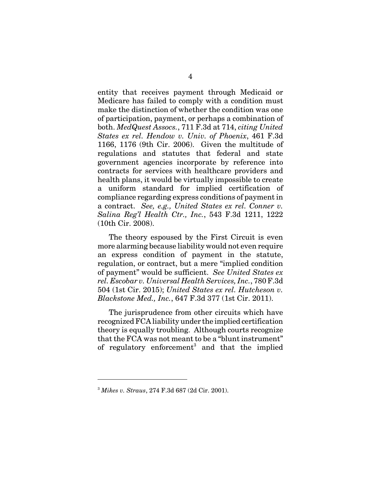entity that receives payment through Medicaid or Medicare has failed to comply with a condition must make the distinction of whether the condition was one of participation, payment, or perhaps a combination of both. *MedQuest Assocs.*, 711 F.3d at 714, *citing United States ex rel. Hendow v. Univ. of Phoenix*, 461 F.3d 1166, 1176 (9th Cir. 2006). Given the multitude of regulations and statutes that federal and state government agencies incorporate by reference into contracts for services with healthcare providers and health plans, it would be virtually impossible to create a uniform standard for implied certification of compliance regarding express conditions of payment in a contract. *See, e.g., United States ex rel. Conner v. Salina Reg'l Health Ctr., Inc.*, 543 F.3d 1211, 1222 (10th Cir. 2008).

The theory espoused by the First Circuit is even more alarming because liability would not even require an express condition of payment in the statute, regulation, or contract, but a mere "implied condition of payment" would be sufficient. *See United States ex rel. Escobar v. Universal Health Services, Inc.*, 780 F.3d 504 (1st Cir. 2015); *United States ex rel. Hutcheson v. Blackstone Med., Inc.*, 647 F.3d 377 (1st Cir. 2011).

The jurisprudence from other circuits which have recognized FCA liability under the implied certification theory is equally troubling. Although courts recognize that the FCA was not meant to be a "blunt instrument" of regulatory enforcement<sup>3</sup> and that the implied

<sup>3</sup> *Mikes v. Straus*, 274 F.3d 687 (2d Cir. 2001).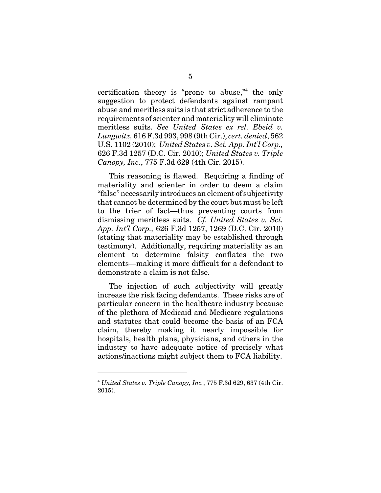certification theory is "prone to abuse,"<sup>4</sup> the only suggestion to protect defendants against rampant abuse and meritless suits is that strict adherence to the requirements of scienter and materiality will eliminate meritless suits. *See United States ex rel. Ebeid v. Lungwitz,* 616 F.3d 993, 998 (9th Cir.), *cert. denied*, 562 U.S. 1102 (2010); *United States v. Sci. App. Int'l Corp.,* 626 F.3d 1257 (D.C. Cir. 2010); *United States v. Triple Canopy, Inc.*, 775 F.3d 629 (4th Cir. 2015).

This reasoning is flawed. Requiring a finding of materiality and scienter in order to deem a claim "false" necessarily introduces an element of subjectivity that cannot be determined by the court but must be left to the trier of fact—thus preventing courts from dismissing meritless suits. *Cf. United States v. Sci. App. Int'l Corp.,* 626 F.3d 1257, 1269 (D.C. Cir. 2010) (stating that materiality may be established through testimony). Additionally, requiring materiality as an element to determine falsity conflates the two elements—making it more difficult for a defendant to demonstrate a claim is not false.

The injection of such subjectivity will greatly increase the risk facing defendants. These risks are of particular concern in the healthcare industry because of the plethora of Medicaid and Medicare regulations and statutes that could become the basis of an FCA claim, thereby making it nearly impossible for hospitals, health plans, physicians, and others in the industry to have adequate notice of precisely what actions/inactions might subject them to FCA liability.

<sup>4</sup> *United States v. Triple Canopy, Inc.*, 775 F.3d 629, 637 (4th Cir. 2015).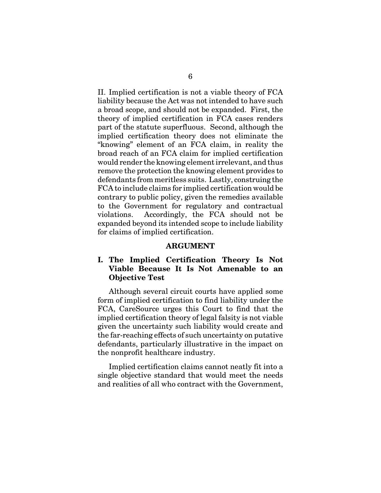II. Implied certification is not a viable theory of FCA liability because the Act was not intended to have such a broad scope, and should not be expanded. First, the theory of implied certification in FCA cases renders part of the statute superfluous. Second, although the implied certification theory does not eliminate the "knowing" element of an FCA claim, in reality the broad reach of an FCA claim for implied certification would render the knowing element irrelevant, and thus remove the protection the knowing element provides to defendants from meritless suits. Lastly, construing the FCA to include claims for implied certification would be contrary to public policy, given the remedies available to the Government for regulatory and contractual violations. Accordingly, the FCA should not be expanded beyond its intended scope to include liability for claims of implied certification.

#### **ARGUMENT**

### **I. The Implied Certification Theory Is Not Viable Because It Is Not Amenable to an Objective Test**

Although several circuit courts have applied some form of implied certification to find liability under the FCA, CareSource urges this Court to find that the implied certification theory of legal falsity is not viable given the uncertainty such liability would create and the far-reaching effects of such uncertainty on putative defendants, particularly illustrative in the impact on the nonprofit healthcare industry.

Implied certification claims cannot neatly fit into a single objective standard that would meet the needs and realities of all who contract with the Government,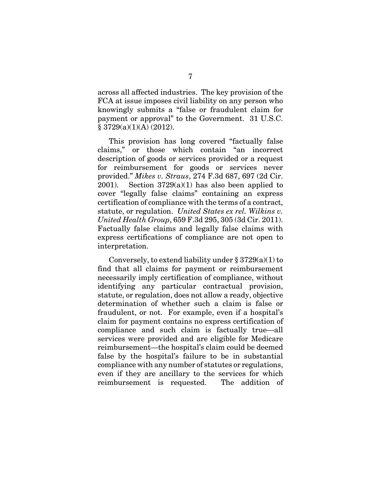across all affected industries. The key provision of the FCA at issue imposes civil liability on any person who knowingly submits a "false or fraudulent claim for payment or approval" to the Government. 31 U.S.C.  $§ 3729(a)(1)(A) (2012).$ 

This provision has long covered "factually false claims," or those which contain "an incorrect description of goods or services provided or a request for reimbursement for goods or services never provided." *Mikes v. Straus*, 274 F.3d 687, 697 (2d Cir. 2001). Section  $3729(a)(1)$  has also been applied to cover "legally false claims" containing an express certification of compliance with the terms of a contract, statute, or regulation. *United States ex rel. Wilkins v. United Health Group*, 659 F.3d 295, 305 (3d Cir. 2011). Factually false claims and legally false claims with express certifications of compliance are not open to interpretation.

Conversely, to extend liability under  $\S 3729(a)(1)$  to find that all claims for payment or reimbursement necessarily imply certification of compliance, without identifying any particular contractual provision, statute, or regulation, does not allow a ready, objective determination of whether such a claim is false or fraudulent, or not. For example, even if a hospital's claim for payment contains no express certification of compliance and such claim is factually true—all services were provided and are eligible for Medicare reimbursement—the hospital's claim could be deemed false by the hospital's failure to be in substantial compliance with any number of statutes or regulations, even if they are ancillary to the services for which reimbursement is requested. The addition of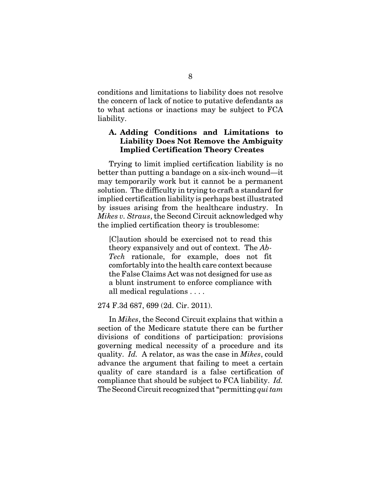conditions and limitations to liability does not resolve the concern of lack of notice to putative defendants as to what actions or inactions may be subject to FCA liability.

### **A. Adding Conditions and Limitations to Liability Does Not Remove the Ambiguity Implied Certification Theory Creates**

Trying to limit implied certification liability is no better than putting a bandage on a six-inch wound—it may temporarily work but it cannot be a permanent solution. The difficulty in trying to craft a standard for implied certification liability is perhaps best illustrated by issues arising from the healthcare industry. In *Mikes v. Straus*, the Second Circuit acknowledged why the implied certification theory is troublesome:

[C]aution should be exercised not to read this theory expansively and out of context. The *Ab-Tech* rationale, for example, does not fit comfortably into the health care context because the False Claims Act was not designed for use as a blunt instrument to enforce compliance with all medical regulations . . . .

#### 274 F.3d 687, 699 (2d. Cir. 2011).

In *Mikes*, the Second Circuit explains that within a section of the Medicare statute there can be further divisions of conditions of participation: provisions governing medical necessity of a procedure and its quality. *Id.* A relator, as was the case in *Mikes*, could advance the argument that failing to meet a certain quality of care standard is a false certification of compliance that should be subject to FCA liability. *Id.* The Second Circuit recognized that "permitting *qui tam*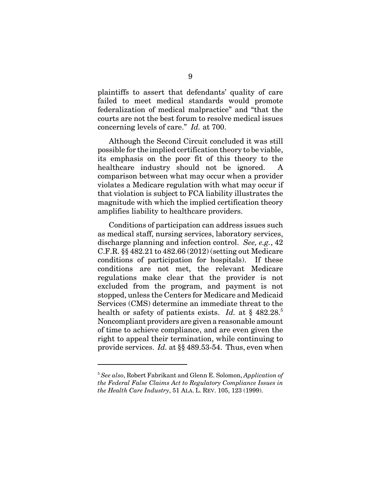plaintiffs to assert that defendants' quality of care failed to meet medical standards would promote federalization of medical malpractice" and "that the courts are not the best forum to resolve medical issues concerning levels of care." *Id.* at 700.

Although the Second Circuit concluded it was still possible for the implied certification theory to be viable, its emphasis on the poor fit of this theory to the healthcare industry should not be ignored. comparison between what may occur when a provider violates a Medicare regulation with what may occur if that violation is subject to FCA liability illustrates the magnitude with which the implied certification theory amplifies liability to healthcare providers.

Conditions of participation can address issues such as medical staff, nursing services, laboratory services, discharge planning and infection control. *See, e.g.*, 42 C.F.R. §§ 482.21 to 482.66 (2012) (setting out Medicare conditions of participation for hospitals). If these conditions are not met, the relevant Medicare regulations make clear that the provider is not excluded from the program, and payment is not stopped, unless the Centers for Medicare and Medicaid Services (CMS) determine an immediate threat to the health or safety of patients exists. *Id.* at § 482.28.<sup>5</sup> Noncompliant providers are given a reasonable amount of time to achieve compliance, and are even given the right to appeal their termination, while continuing to provide services. *Id.* at §§ 489.53-54. Thus, even when

<sup>5</sup> *See also*, Robert Fabrikant and Glenn E. Solomon, *Application of the Federal False Claims Act to Regulatory Compliance Issues in the Health Care Industry*, 51 ALA. L. REV. 105, 123 (1999).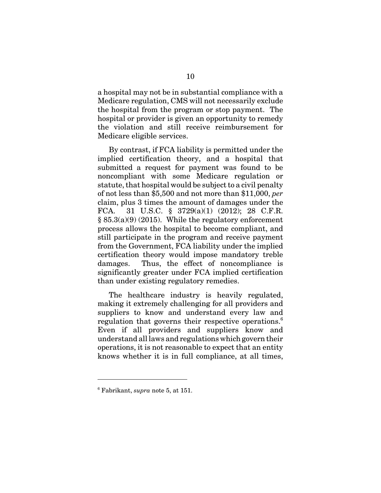a hospital may not be in substantial compliance with a Medicare regulation, CMS will not necessarily exclude the hospital from the program or stop payment. The hospital or provider is given an opportunity to remedy the violation and still receive reimbursement for Medicare eligible services.

By contrast, if FCA liability is permitted under the implied certification theory, and a hospital that submitted a request for payment was found to be noncompliant with some Medicare regulation or statute, that hospital would be subject to a civil penalty of not less than \$5,500 and not more than \$11,000, *per* claim, plus 3 times the amount of damages under the FCA. 31 U.S.C. § 3729(a)(1) (2012); 28 C.F.R.  $§ 85.3(a)(9) (2015)$ . While the regulatory enforcement process allows the hospital to become compliant, and still participate in the program and receive payment from the Government, FCA liability under the implied certification theory would impose mandatory treble damages. Thus, the effect of noncompliance is significantly greater under FCA implied certification than under existing regulatory remedies.

The healthcare industry is heavily regulated, making it extremely challenging for all providers and suppliers to know and understand every law and regulation that governs their respective operations.<sup>6</sup> Even if all providers and suppliers know and understand all laws and regulations which govern their operations, it is not reasonable to expect that an entity knows whether it is in full compliance, at all times,

<sup>6</sup> Fabrikant, *supra* note 5, at 151.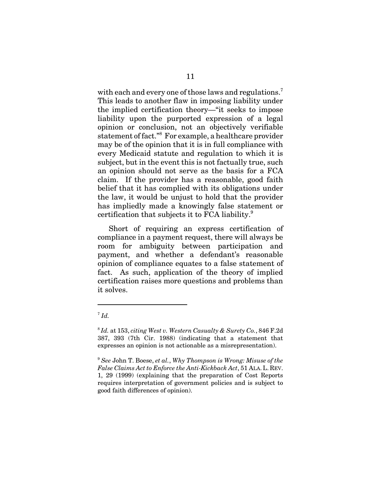with each and every one of those laws and regulations.<sup>7</sup> This leads to another flaw in imposing liability under the implied certification theory—"it seeks to impose liability upon the purported expression of a legal opinion or conclusion, not an objectively verifiable statement of fact."<sup>8</sup> For example, a healthcare provider may be of the opinion that it is in full compliance with every Medicaid statute and regulation to which it is subject, but in the event this is not factually true, such an opinion should not serve as the basis for a FCA claim. If the provider has a reasonable, good faith belief that it has complied with its obligations under the law, it would be unjust to hold that the provider has impliedly made a knowingly false statement or certification that subjects it to FCA liability.<sup>9</sup>

Short of requiring an express certification of compliance in a payment request, there will always be room for ambiguity between participation and payment, and whether a defendant's reasonable opinion of compliance equates to a false statement of fact. As such, application of the theory of implied certification raises more questions and problems than it solves.

 $^7$  *Id.* 

<sup>8</sup> *Id.* at 153, *citing West v. Western Casualty & Surety Co.*, 846 F.2d 387, 393 (7th Cir. 1988) (indicating that a statement that expresses an opinion is not actionable as a misrepresentation).

<sup>9</sup> *See* John T. Boese, *et al.*, *Why Thompson is Wrong: Misuse of the False Claims Act to Enforce the Anti-Kickback Act*, 51 ALA.L. REV. 1, 29 (1999) (explaining that the preparation of Cost Reports requires interpretation of government policies and is subject to good faith differences of opinion).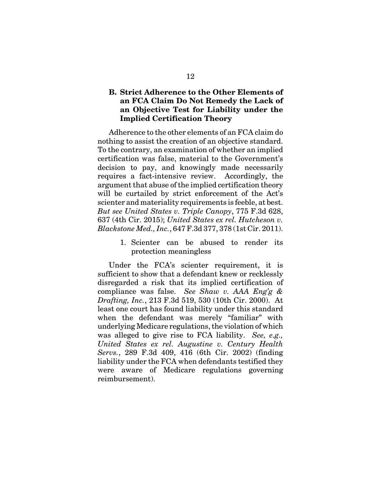### **B. Strict Adherence to the Other Elements of an FCA Claim Do Not Remedy the Lack of an Objective Test for Liability under the Implied Certification Theory**

Adherence to the other elements of an FCA claim do nothing to assist the creation of an objective standard. To the contrary, an examination of whether an implied certification was false, material to the Government's decision to pay, and knowingly made necessarily requires a fact-intensive review. Accordingly, the argument that abuse of the implied certification theory will be curtailed by strict enforcement of the Act's scienter and materiality requirements is feeble, at best. *But see United States v. Triple Canopy*, 775 F.3d 628, 637 (4th Cir. 2015); *United States ex rel. Hutcheson v. Blackstone Med., Inc.*, 647 F.3d 377, 378 (1st Cir. 2011).

> 1. Scienter can be abused to render its protection meaningless

Under the FCA's scienter requirement, it is sufficient to show that a defendant knew or recklessly disregarded a risk that its implied certification of compliance was false. *See Shaw v. AAA Eng'g & Drafting, Inc.*, 213 F.3d 519, 530 (10th Cir. 2000). At least one court has found liability under this standard when the defendant was merely "familiar" with underlying Medicare regulations, the violation of which was alleged to give rise to FCA liability. *See, e.g., United States ex rel. Augustine v. Century Health Servs.*, 289 F.3d 409, 416 (6th Cir. 2002) (finding liability under the FCA when defendants testified they were aware of Medicare regulations governing reimbursement).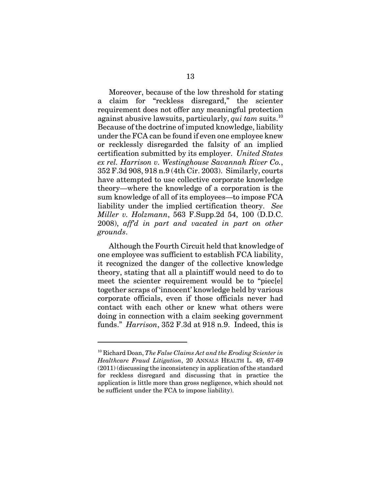Moreover, because of the low threshold for stating a claim for "reckless disregard," the scienter requirement does not offer any meaningful protection against abusive lawsuits, particularly, *qui tam* suits.<sup>10</sup> Because of the doctrine of imputed knowledge, liability under the FCA can be found if even one employee knew or recklessly disregarded the falsity of an implied certification submitted by its employer. *United States ex rel. Harrison v. Westinghouse Savannah River Co.*, 352 F.3d 908, 918 n.9 (4th Cir. 2003). Similarly, courts have attempted to use collective corporate knowledge theory—where the knowledge of a corporation is the sum knowledge of all of its employees—to impose FCA liability under the implied certification theory. *See Miller v. Holzmann*, 563 F.Supp.2d 54, 100 (D.D.C. 2008), *aff'd in part and vacated in part on other grounds*.

Although the Fourth Circuit held that knowledge of one employee was sufficient to establish FCA liability, it recognized the danger of the collective knowledge theory, stating that all a plaintiff would need to do to meet the scienter requirement would be to "piec[e] together scraps of 'innocent' knowledge held by various corporate officials, even if those officials never had contact with each other or knew what others were doing in connection with a claim seeking government funds." *Harrison*, 352 F.3d at 918 n.9. Indeed, this is

<sup>10</sup> Richard Doan, *The False Claims Act and the Eroding Scienter in Healthcare Fraud Litigation*, 20 ANNALS HEALTH L. 49, 67-69 (2011) (discussing the inconsistency in application of the standard for reckless disregard and discussing that in practice the application is little more than gross negligence, which should not be sufficient under the FCA to impose liability).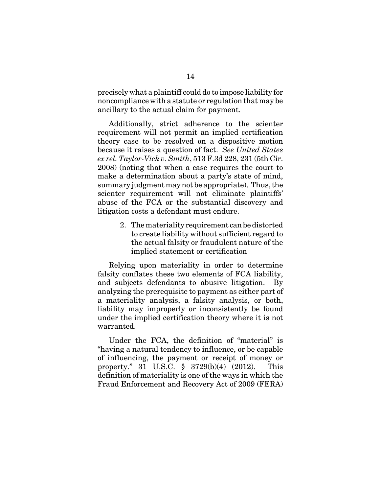precisely what a plaintiff could do to impose liability for noncompliance with a statute or regulation that may be ancillary to the actual claim for payment.

Additionally, strict adherence to the scienter requirement will not permit an implied certification theory case to be resolved on a dispositive motion because it raises a question of fact. *See United States ex rel. Taylor-Vick v. Smith*, 513 F.3d 228, 231 (5th Cir. 2008) (noting that when a case requires the court to make a determination about a party's state of mind, summary judgment may not be appropriate). Thus, the scienter requirement will not eliminate plaintiffs' abuse of the FCA or the substantial discovery and litigation costs a defendant must endure.

> 2. The materiality requirement can be distorted to create liability without sufficient regard to the actual falsity or fraudulent nature of the implied statement or certification

Relying upon materiality in order to determine falsity conflates these two elements of FCA liability, and subjects defendants to abusive litigation. By analyzing the prerequisite to payment as either part of a materiality analysis, a falsity analysis, or both, liability may improperly or inconsistently be found under the implied certification theory where it is not warranted.

Under the FCA, the definition of "material" is "having a natural tendency to influence, or be capable of influencing, the payment or receipt of money or property." 31 U.S.C. § 3729(b)(4) (2012). This definition of materiality is one of the ways in which the Fraud Enforcement and Recovery Act of 2009 (FERA)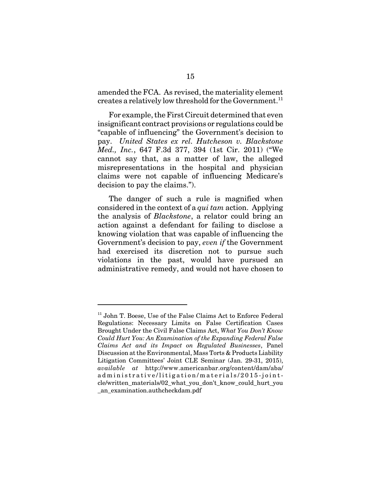amended the FCA. As revised, the materiality element creates a relatively low threshold for the Government.<sup>11</sup>

For example, the First Circuit determined that even insignificant contract provisions or regulations could be "capable of influencing" the Government's decision to pay. *United States ex rel. Hutcheson v. Blackstone Med., Inc.*, 647 F.3d 377, 394 (1st Cir. 2011) ("We cannot say that, as a matter of law, the alleged misrepresentations in the hospital and physician claims were not capable of influencing Medicare's decision to pay the claims.").

The danger of such a rule is magnified when considered in the context of a *qui tam* action. Applying the analysis of *Blackstone*, a relator could bring an action against a defendant for failing to disclose a knowing violation that was capable of influencing the Government's decision to pay, *even if* the Government had exercised its discretion not to pursue such violations in the past, would have pursued an administrative remedy, and would not have chosen to

<sup>&</sup>lt;sup>11</sup> John T. Boese, Use of the False Claims Act to Enforce Federal Regulations: Necessary Limits on False Certification Cases Brought Under the Civil False Claims Act, *What You Don't Know Could Hurt You: An Examination of the Expanding Federal False Claims Act and its Impact on Regulated Businesses*, Panel Discussion at the Environmental, Mass Torts & Products Liability Litigation Committees' Joint CLE Seminar (Jan. 29-31, 2015), *available at* http://www.americanbar.org/content/dam/aba/ administrative/litigation/materials/2015-jointcle/written\_materials/02\_what\_you\_don't\_know\_could\_hurt\_you \_an\_examination.authcheckdam.pdf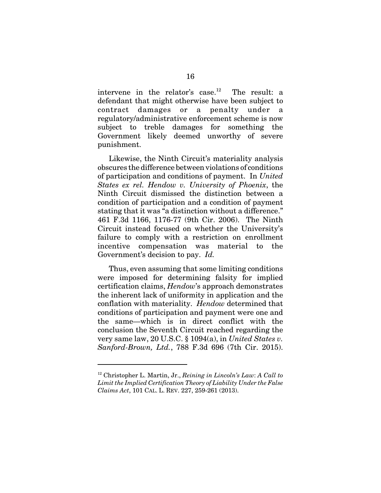intervene in the relator's case.<sup>12</sup> The result: a defendant that might otherwise have been subject to contract damages or a penalty under a regulatory/administrative enforcement scheme is now subject to treble damages for something the Government likely deemed unworthy of severe punishment.

Likewise, the Ninth Circuit's materiality analysis obscures the difference between violations of conditions of participation and conditions of payment. In *United States ex rel. Hendow v. University of Phoenix*, the Ninth Circuit dismissed the distinction between a condition of participation and a condition of payment stating that it was "a distinction without a difference." 461 F.3d 1166, 1176-77 (9th Cir. 2006). The Ninth Circuit instead focused on whether the University's failure to comply with a restriction on enrollment incentive compensation was material to the Government's decision to pay. *Id.*

Thus, even assuming that some limiting conditions were imposed for determining falsity for implied certification claims, *Hendow*'s approach demonstrates the inherent lack of uniformity in application and the conflation with materiality. *Hendow* determined that conditions of participation and payment were one and the same—which is in direct conflict with the conclusion the Seventh Circuit reached regarding the very same law, 20 U.S.C. § 1094(a), in *United States v. Sanford-Brown, Ltd.*, 788 F.3d 696 (7th Cir. 2015).

<sup>12</sup> Christopher L. Martin, Jr., *Reining in Lincoln's Law*: *A Call to Limit the Implied Certification Theory of Liability Under the False Claims Act*, 101 CAL. L. REV. 227, 259-261 (2013).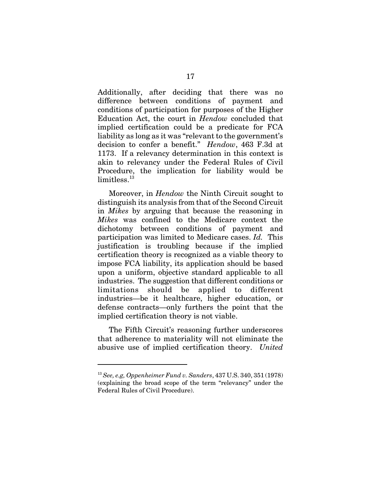Additionally, after deciding that there was no difference between conditions of payment and conditions of participation for purposes of the Higher Education Act, the court in *Hendow* concluded that implied certification could be a predicate for FCA liability as long as it was "relevant to the government's decision to confer a benefit." *Hendow*, 463 F.3d at 1173. If a relevancy determination in this context is akin to relevancy under the Federal Rules of Civil Procedure, the implication for liability would be  $limits<sup>13</sup>$ 

Moreover, in *Hendow* the Ninth Circuit sought to distinguish its analysis from that of the Second Circuit in *Mikes* by arguing that because the reasoning in *Mikes* was confined to the Medicare context the dichotomy between conditions of payment and participation was limited to Medicare cases. *Id.* This justification is troubling because if the implied certification theory is recognized as a viable theory to impose FCA liability, its application should be based upon a uniform, objective standard applicable to all industries. The suggestion that different conditions or limitations should be applied to different industries—be it healthcare, higher education, or defense contracts—only furthers the point that the implied certification theory is not viable.

The Fifth Circuit's reasoning further underscores that adherence to materiality will not eliminate the abusive use of implied certification theory. *United*

<sup>13</sup> *See, e.g, Oppenheimer Fund v. Sanders*, 437 U.S. 340, 351 (1978) (explaining the broad scope of the term "relevancy" under the Federal Rules of Civil Procedure).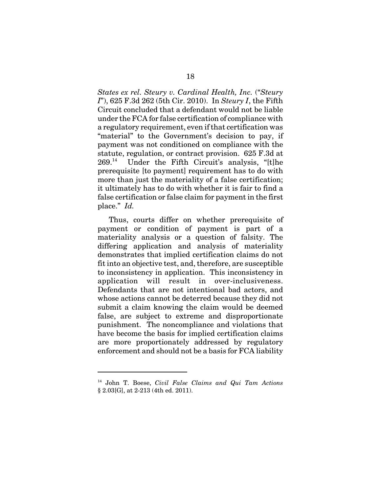*States ex rel. Steury v. Cardinal Health, Inc.* ("*Steury I*"), 625 F.3d 262 (5th Cir. 2010). In *Steury I*, the Fifth Circuit concluded that a defendant would not be liable under the FCA for false certification of compliance with a regulatory requirement, even if that certification was "material" to the Government's decision to pay, if payment was not conditioned on compliance with the statute, regulation, or contract provision. 625 F.3d at  $269.^{14}$  Under the Fifth Circuit's analysis, "[t]he prerequisite [to payment] requirement has to do with more than just the materiality of a false certification; it ultimately has to do with whether it is fair to find a false certification or false claim for payment in the first place." *Id.*

Thus, courts differ on whether prerequisite of payment or condition of payment is part of a materiality analysis or a question of falsity. The differing application and analysis of materiality demonstrates that implied certification claims do not fit into an objective test, and, therefore, are susceptible to inconsistency in application. This inconsistency in application will result in over-inclusiveness. Defendants that are not intentional bad actors, and whose actions cannot be deterred because they did not submit a claim knowing the claim would be deemed false, are subject to extreme and disproportionate punishment. The noncompliance and violations that have become the basis for implied certification claims are more proportionately addressed by regulatory enforcement and should not be a basis for FCA liability

<sup>14</sup> John T. Boese, *Civil False Claims and Qui Tam Actions* § 2.03[G], at 2-213 (4th ed. 2011).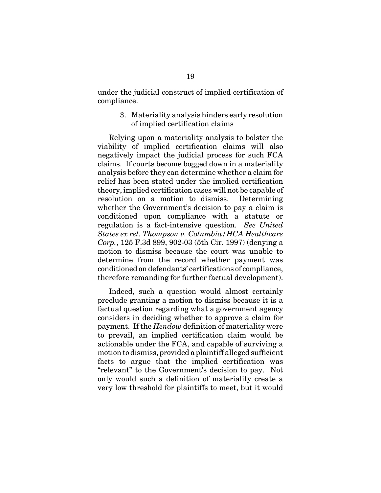under the judicial construct of implied certification of compliance.

> 3. Materiality analysis hinders early resolution of implied certification claims

Relying upon a materiality analysis to bolster the viability of implied certification claims will also negatively impact the judicial process for such FCA claims. If courts become bogged down in a materiality analysis before they can determine whether a claim for relief has been stated under the implied certification theory, implied certification cases will not be capable of resolution on a motion to dismiss. Determining whether the Government's decision to pay a claim is conditioned upon compliance with a statute or regulation is a fact-intensive question. *See United States ex rel. Thompson v. Columbia/HCA Healthcare Corp.*, 125 F.3d 899, 902-03 (5th Cir. 1997) (denying a motion to dismiss because the court was unable to determine from the record whether payment was conditioned on defendants' certifications of compliance, therefore remanding for further factual development).

Indeed, such a question would almost certainly preclude granting a motion to dismiss because it is a factual question regarding what a government agency considers in deciding whether to approve a claim for payment. If the *Hendow* definition of materiality were to prevail, an implied certification claim would be actionable under the FCA, and capable of surviving a motion to dismiss, provided a plaintiff alleged sufficient facts to argue that the implied certification was "relevant" to the Government's decision to pay. Not only would such a definition of materiality create a very low threshold for plaintiffs to meet, but it would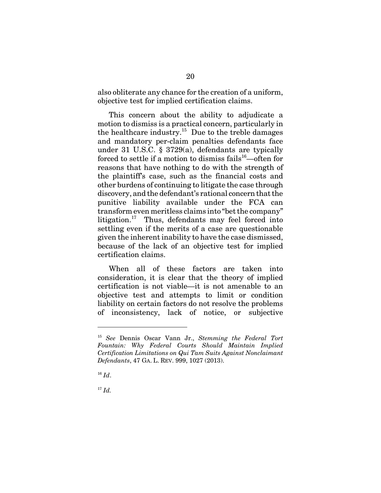also obliterate any chance for the creation of a uniform, objective test for implied certification claims.

This concern about the ability to adjudicate a motion to dismiss is a practical concern, particularly in the healthcare industry.15 Due to the treble damages and mandatory per-claim penalties defendants face under 31 U.S.C. § 3729(a), defendants are typically forced to settle if a motion to dismiss fails<sup>16</sup>—often for reasons that have nothing to do with the strength of the plaintiff's case, such as the financial costs and other burdens of continuing to litigate the case through discovery, and the defendant's rational concern that the punitive liability available under the FCA can transform even meritless claims into "bet the company" litigation. $17$  Thus, defendants may feel forced into settling even if the merits of a case are questionable given the inherent inability to have the case dismissed, because of the lack of an objective test for implied certification claims.

When all of these factors are taken into consideration, it is clear that the theory of implied certification is not viable—it is not amenable to an objective test and attempts to limit or condition liability on certain factors do not resolve the problems of inconsistency, lack of notice, or subjective

<sup>15</sup> *See* Dennis Oscar Vann Jr., *Stemming the Federal Tort Fountain: Why Federal Courts Should Maintain Implied Certification Limitations on Qui Tam Suits Against Nonclaimant Defendants*, 47 GA. L. REV. 999, 1027 (2013).

 $16$  *Id.* 

 $17$  *Id.*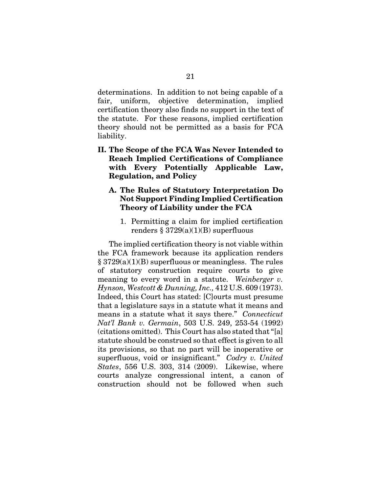determinations. In addition to not being capable of a fair, uniform, objective determination, implied certification theory also finds no support in the text of the statute. For these reasons, implied certification theory should not be permitted as a basis for FCA liability.

- **II. The Scope of the FCA Was Never Intended to Reach Implied Certifications of Compliance with Every Potentially Applicable Law, Regulation, and Policy** 
	- **A. The Rules of Statutory Interpretation Do Not Support Finding Implied Certification Theory of Liability under the FCA**
		- 1. Permitting a claim for implied certification renders  $\S 3729(a)(1)(B)$  superfluous

The implied certification theory is not viable within the FCA framework because its application renders § 3729(a)(1)(B) superfluous or meaningless. The rules of statutory construction require courts to give meaning to every word in a statute. *Weinberger v. Hynson, Westcott & Dunning, Inc.,* 412 U.S. 609 (1973). Indeed, this Court has stated: [C]ourts must presume that a legislature says in a statute what it means and means in a statute what it says there." *Connecticut Nat'l Bank v. Germain*, 503 U.S. 249, 253-54 (1992) (citations omitted). This Court has also stated that "[a] statute should be construed so that effect is given to all its provisions, so that no part will be inoperative or superfluous, void or insignificant." *Codry v. United States*, 556 U.S. 303, 314 (2009). Likewise, where courts analyze congressional intent, a canon of construction should not be followed when such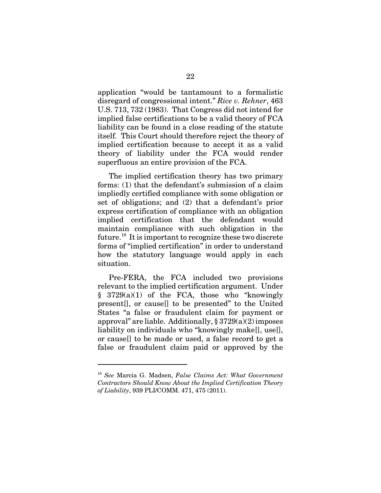application "would be tantamount to a formalistic disregard of congressional intent." *Rice v. Rehner*, 463 U.S. 713, 732 (1983). That Congress did not intend for implied false certifications to be a valid theory of FCA liability can be found in a close reading of the statute itself. This Court should therefore reject the theory of implied certification because to accept it as a valid theory of liability under the FCA would render superfluous an entire provision of the FCA.

The implied certification theory has two primary forms: (1) that the defendant's submission of a claim impliedly certified compliance with some obligation or set of obligations; and (2) that a defendant's prior express certification of compliance with an obligation implied certification that the defendant would maintain compliance with such obligation in the future.<sup>18</sup> It is important to recognize these two discrete forms of "implied certification" in order to understand how the statutory language would apply in each situation.

Pre-FERA, the FCA included two provisions relevant to the implied certification argument. Under § 3729(a)(1) of the FCA, those who "knowingly present[], or cause[] to be presented" to the United States "a false or fraudulent claim for payment or approval" are liable. Additionally,  $\S 3729(a)(2)$  imposes liability on individuals who "knowingly make[], use[], or cause[] to be made or used, a false record to get a false or fraudulent claim paid or approved by the

<sup>18</sup> *See* Marcia G. Madsen, *False Claims Act: What Government Contractors Should Know About the Implied Certification Theory of Liability*, 939 PLI/COMM. 471, 475 (2011).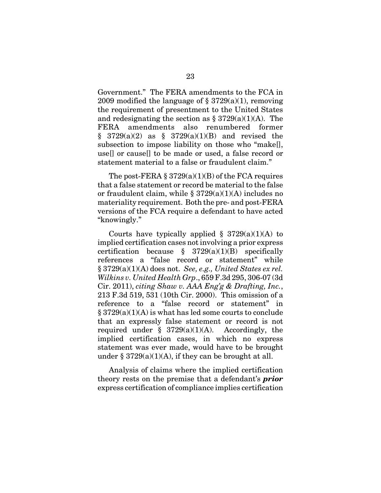Government." The FERA amendments to the FCA in 2009 modified the language of  $\S 3729(a)(1)$ , removing the requirement of presentment to the United States and redesignating the section as  $\S 3729(a)(1)(A)$ . The FERA amendments also renumbered former  $§$  3729(a)(2) as  $§$  3729(a)(1)(B) and revised the subsection to impose liability on those who "make[], use[] or cause[] to be made or used, a false record or statement material to a false or fraudulent claim."

The post-FERA  $\S 3729(a)(1)(B)$  of the FCA requires that a false statement or record be material to the false or fraudulent claim, while  $\S 3729(a)(1)(A)$  includes no materiality requirement. Both the pre- and post-FERA versions of the FCA require a defendant to have acted "knowingly."

Courts have typically applied  $\S$  3729(a)(1)(A) to implied certification cases not involving a prior express certification because  $\S$  3729(a)(1)(B) specifically references a "false record or statement" while § 3729(a)(1)(A) does not. *See, e.g., United States ex rel. Wilkins v. United Health Grp*., 659 F.3d 295, 306-07 (3d Cir. 2011), *citing Shaw v. AAA Eng'g & Drafting, Inc.*, 213 F.3d 519, 531 (10th Cir. 2000). This omission of a reference to a "false record or statement" in  $\S 3729(a)(1)(A)$  is what has led some courts to conclude that an expressly false statement or record is not required under  $\S$  3729(a)(1)(A). Accordingly, the implied certification cases, in which no express statement was ever made, would have to be brought under §  $3729(a)(1)(A)$ , if they can be brought at all.

Analysis of claims where the implied certification theory rests on the premise that a defendant's *prior* express certification of compliance implies certification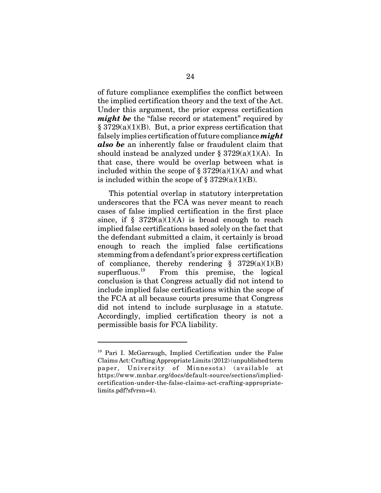of future compliance exemplifies the conflict between the implied certification theory and the text of the Act. Under this argument, the prior express certification *might be* the "false record or statement" required by § 3729(a)(1)(B). But, a prior express certification that falsely implies certification of future compliance *might also be* an inherently false or fraudulent claim that should instead be analyzed under  $\S 3729(a)(1)(A)$ . In that case, there would be overlap between what is included within the scope of  $\S 3729(a)(1)(A)$  and what is included within the scope of  $\S 3729(a)(1)(B)$ .

This potential overlap in statutory interpretation underscores that the FCA was never meant to reach cases of false implied certification in the first place since, if  $\S$  3729(a)(1)(A) is broad enough to reach implied false certifications based solely on the fact that the defendant submitted a claim, it certainly is broad enough to reach the implied false certifications stemming from a defendant's prior express certification of compliance, thereby rendering  $\S$  3729(a)(1)(B) superfluous.<sup>19</sup> From this premise, the logical conclusion is that Congress actually did not intend to include implied false certifications within the scope of the FCA at all because courts presume that Congress did not intend to include surplusage in a statute. Accordingly, implied certification theory is not a permissible basis for FCA liability.

<sup>19</sup> Pari I. McGarraugh, Implied Certification under the False Claims Act: Crafting Appropriate Limits (2012) (unpublished term paper, University of Minnesota) (available at https://www.mnbar.org/docs/default-source/sections/impliedcertification-under-the-false-claims-act-crafting-appropriatelimits.pdf?sfvrsn=4).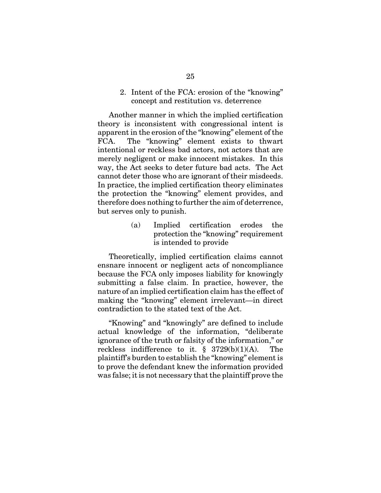2. Intent of the FCA: erosion of the "knowing" concept and restitution vs. deterrence

Another manner in which the implied certification theory is inconsistent with congressional intent is apparent in the erosion of the "knowing" element of the FCA. The "knowing" element exists to thwart intentional or reckless bad actors, not actors that are merely negligent or make innocent mistakes. In this way, the Act seeks to deter future bad acts. The Act cannot deter those who are ignorant of their misdeeds. In practice, the implied certification theory eliminates the protection the "knowing" element provides, and therefore does nothing to further the aim of deterrence, but serves only to punish.

> (a) Implied certification erodes the protection the "knowing" requirement is intended to provide

Theoretically, implied certification claims cannot ensnare innocent or negligent acts of noncompliance because the FCA only imposes liability for knowingly submitting a false claim. In practice, however, the nature of an implied certification claim has the effect of making the "knowing" element irrelevant—in direct contradiction to the stated text of the Act.

"Knowing" and "knowingly" are defined to include actual knowledge of the information, "deliberate ignorance of the truth or falsity of the information," or reckless indifference to it.  $\S$  3729(b)(1)(A). The plaintiff's burden to establish the "knowing" element is to prove the defendant knew the information provided was false; it is not necessary that the plaintiff prove the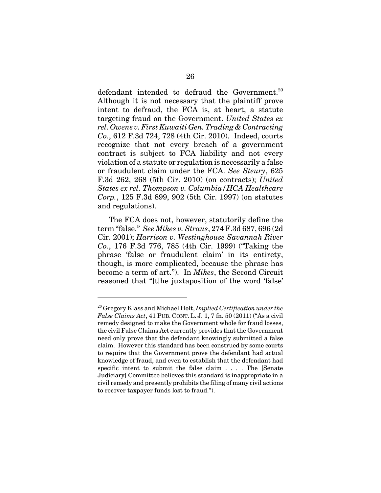defendant intended to defraud the Government.<sup>20</sup> Although it is not necessary that the plaintiff prove intent to defraud, the FCA is, at heart, a statute targeting fraud on the Government. *United States ex rel. Owens v. First Kuwaiti Gen. Trading & Contracting Co.*, 612 F.3d 724, 728 (4th Cir. 2010). Indeed, courts recognize that not every breach of a government contract is subject to FCA liability and not every violation of a statute or regulation is necessarily a false or fraudulent claim under the FCA. *See Steury*, 625 F.3d 262, 268 (5th Cir. 2010) (on contracts); *United States ex rel. Thompson v. Columbia/HCA Healthcare Corp.*, 125 F.3d 899, 902 (5th Cir. 1997) (on statutes and regulations).

The FCA does not, however, statutorily define the term "false." *See Mikes v. Straus*, 274 F.3d 687, 696 (2d Cir. 2001); *Harrison v. Westinghouse Savannah River Co.*, 176 F.3d 776, 785 (4th Cir. 1999) ("Taking the phrase 'false or fraudulent claim' in its entirety, though, is more complicated, because the phrase has become a term of art."). In *Mikes*, the Second Circuit reasoned that "[t]he juxtaposition of the word 'false'

<sup>20</sup> Gregory Klass and Michael Holt, *Implied Certification under the False Claims Act*, 41 PUB. CONT. L. J. 1, 7 fn. 50 (2011) ("As a civil remedy designed to make the Government whole for fraud losses, the civil False Claims Act currently provides that the Government need only prove that the defendant knowingly submitted a false claim. However this standard has been construed by some courts to require that the Government prove the defendant had actual knowledge of fraud, and even to establish that the defendant had specific intent to submit the false claim . . . . The [Senate Judiciary] Committee believes this standard is inappropriate in a civil remedy and presently prohibits the filing of many civil actions to recover taxpayer funds lost to fraud.").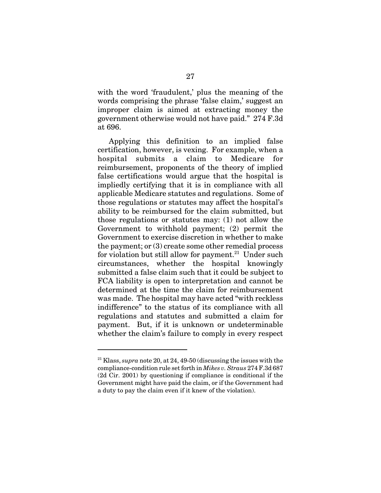with the word 'fraudulent,' plus the meaning of the words comprising the phrase 'false claim,' suggest an improper claim is aimed at extracting money the government otherwise would not have paid." 274 F.3d at 696.

Applying this definition to an implied false certification, however, is vexing. For example, when a hospital submits a claim to Medicare for reimbursement, proponents of the theory of implied false certifications would argue that the hospital is impliedly certifying that it is in compliance with all applicable Medicare statutes and regulations. Some of those regulations or statutes may affect the hospital's ability to be reimbursed for the claim submitted, but those regulations or statutes may: (1) not allow the Government to withhold payment; (2) permit the Government to exercise discretion in whether to make the payment; or (3) create some other remedial process for violation but still allow for payment.<sup>21</sup> Under such circumstances, whether the hospital knowingly submitted a false claim such that it could be subject to FCA liability is open to interpretation and cannot be determined at the time the claim for reimbursement was made. The hospital may have acted "with reckless indifference" to the status of its compliance with all regulations and statutes and submitted a claim for payment. But, if it is unknown or undeterminable whether the claim's failure to comply in every respect

<sup>21</sup> Klass, *supra* note 20, at 24, 49-50 (discussing the issues with the compliance-condition rule set forth in *Mikes v. Straus* 274 F.3d 687 (2d Cir. 2001) by questioning if compliance is conditional if the Government might have paid the claim, or if the Government had a duty to pay the claim even if it knew of the violation).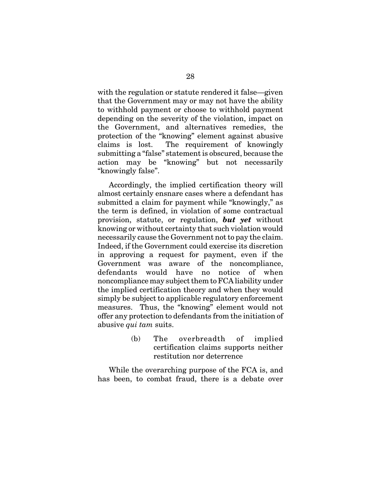with the regulation or statute rendered it false—given that the Government may or may not have the ability to withhold payment or choose to withhold payment depending on the severity of the violation, impact on the Government, and alternatives remedies, the protection of the "knowing" element against abusive claims is lost. The requirement of knowingly submitting a "false" statement is obscured, because the action may be "knowing" but not necessarily "knowingly false".

Accordingly, the implied certification theory will almost certainly ensnare cases where a defendant has submitted a claim for payment while "knowingly," as the term is defined, in violation of some contractual provision, statute, or regulation, *but yet* without knowing or without certainty that such violation would necessarily cause the Government not to pay the claim. Indeed, if the Government could exercise its discretion in approving a request for payment, even if the Government was aware of the noncompliance, defendants would have no notice of when noncompliance may subject them to FCA liability under the implied certification theory and when they would simply be subject to applicable regulatory enforcement measures. Thus, the "knowing" element would not offer any protection to defendants from the initiation of abusive *qui tam* suits.

> (b) The overbreadth of implied certification claims supports neither restitution nor deterrence

While the overarching purpose of the FCA is, and has been, to combat fraud, there is a debate over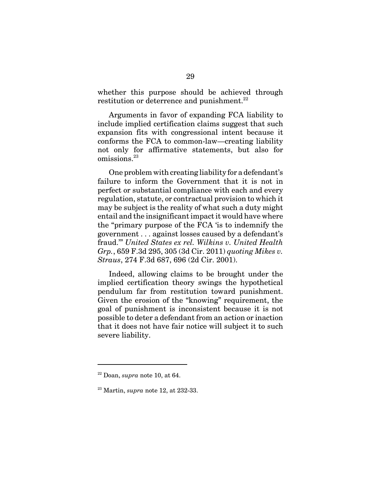whether this purpose should be achieved through restitution or deterrence and punishment. $^{22}$ 

Arguments in favor of expanding FCA liability to include implied certification claims suggest that such expansion fits with congressional intent because it conforms the FCA to common-law—creating liability not only for affirmative statements, but also for omissions.23

One problem with creating liability for a defendant's failure to inform the Government that it is not in perfect or substantial compliance with each and every regulation, statute, or contractual provision to which it may be subject is the reality of what such a duty might entail and the insignificant impact it would have where the "primary purpose of the FCA 'is to indemnify the government . . . against losses caused by a defendant's fraud.'" *United States ex rel. Wilkins v. United Health Grp.*, 659 F.3d 295, 305 (3d Cir. 2011) *quoting Mikes v. Straus*, 274 F.3d 687, 696 (2d Cir. 2001).

Indeed, allowing claims to be brought under the implied certification theory swings the hypothetical pendulum far from restitution toward punishment. Given the erosion of the "knowing" requirement, the goal of punishment is inconsistent because it is not possible to deter a defendant from an action or inaction that it does not have fair notice will subject it to such severe liability.

<sup>22</sup> Doan, *supra* note 10, at 64.

<sup>23</sup> Martin, *supra* note 12, at 232-33.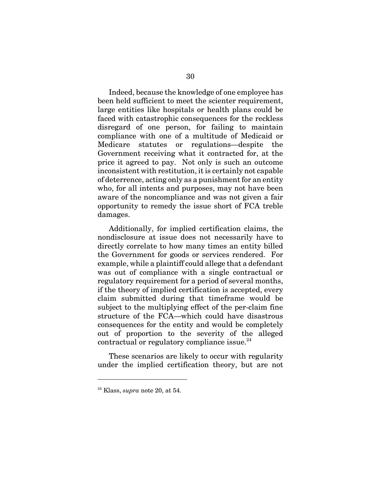Indeed, because the knowledge of one employee has been held sufficient to meet the scienter requirement, large entities like hospitals or health plans could be faced with catastrophic consequences for the reckless disregard of one person, for failing to maintain compliance with one of a multitude of Medicaid or Medicare statutes or regulations—despite the Government receiving what it contracted for, at the price it agreed to pay. Not only is such an outcome inconsistent with restitution, it is certainly not capable of deterrence, acting only as a punishment for an entity who, for all intents and purposes, may not have been aware of the noncompliance and was not given a fair opportunity to remedy the issue short of FCA treble damages.

Additionally, for implied certification claims, the nondisclosure at issue does not necessarily have to directly correlate to how many times an entity billed the Government for goods or services rendered. For example, while a plaintiff could allege that a defendant was out of compliance with a single contractual or regulatory requirement for a period of several months, if the theory of implied certification is accepted, every claim submitted during that timeframe would be subject to the multiplying effect of the per-claim fine structure of the FCA—which could have disastrous consequences for the entity and would be completely out of proportion to the severity of the alleged contractual or regulatory compliance issue. $^{24}$ 

These scenarios are likely to occur with regularity under the implied certification theory, but are not

<sup>24</sup> Klass, *supra* note 20, at 54.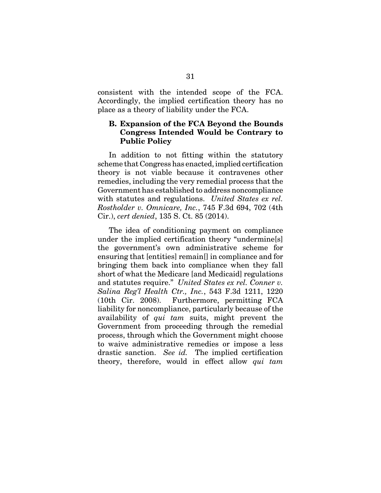consistent with the intended scope of the FCA. Accordingly, the implied certification theory has no place as a theory of liability under the FCA.

### **B. Expansion of the FCA Beyond the Bounds Congress Intended Would be Contrary to Public Policy**

In addition to not fitting within the statutory scheme that Congress has enacted, implied certification theory is not viable because it contravenes other remedies, including the very remedial process that the Government has established to address noncompliance with statutes and regulations. *United States ex rel. Rostholder v. Omnicare, Inc.*, 745 F.3d 694, 702 (4th Cir.), *cert denied*, 135 S. Ct. 85 (2014).

The idea of conditioning payment on compliance under the implied certification theory "undermine[s] the government's own administrative scheme for ensuring that [entities] remain[] in compliance and for bringing them back into compliance when they fall short of what the Medicare [and Medicaid] regulations and statutes require." *United States ex rel. Conner v. Salina Reg'l Health Ctr., Inc.*, 543 F.3d 1211, 1220 (10th Cir. 2008). Furthermore, permitting FCA liability for noncompliance, particularly because of the availability of *qui tam* suits, might prevent the Government from proceeding through the remedial process, through which the Government might choose to waive administrative remedies or impose a less drastic sanction. *See id.* The implied certification theory, therefore, would in effect allow *qui tam*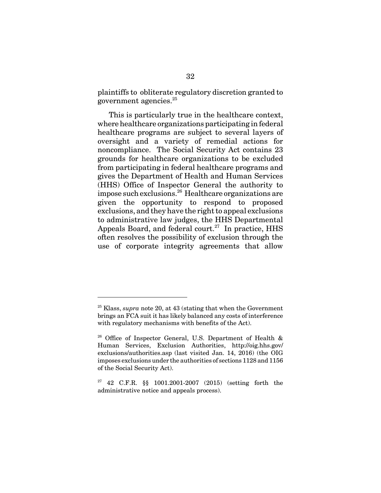plaintiffs to obliterate regulatory discretion granted to government agencies.25

This is particularly true in the healthcare context, where healthcare organizations participating in federal healthcare programs are subject to several layers of oversight and a variety of remedial actions for noncompliance. The Social Security Act contains 23 grounds for healthcare organizations to be excluded from participating in federal healthcare programs and gives the Department of Health and Human Services (HHS) Office of Inspector General the authority to impose such exclusions.26 Healthcare organizations are given the opportunity to respond to proposed exclusions, and they have the right to appeal exclusions to administrative law judges, the HHS Departmental Appeals Board, and federal court.<sup>27</sup> In practice,  $H$ HS often resolves the possibility of exclusion through the use of corporate integrity agreements that allow

<sup>25</sup> Klass, *supra* note 20, at 43 (stating that when the Government brings an FCA suit it has likely balanced any costs of interference with regulatory mechanisms with benefits of the Act).

<sup>&</sup>lt;sup>26</sup> Office of Inspector General, U.S. Department of Health  $\&$ Human Services, Exclusion Authorities, http://oig.hhs.gov/ exclusions/authorities.asp (last visited Jan. 14, 2016) (the OIG imposes exclusions under the authorities of sections 1128 and 1156 of the Social Security Act).

<sup>&</sup>lt;sup>27</sup> 42 C.F.R. §§ 1001.2001-2007 (2015) (setting forth the administrative notice and appeals process).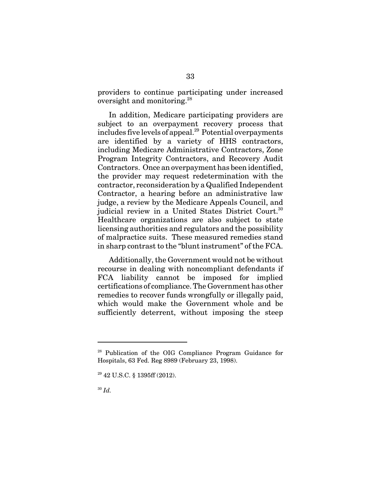providers to continue participating under increased oversight and monitoring.28

In addition, Medicare participating providers are subject to an overpayment recovery process that includes five levels of appeal.<sup>29</sup> Potential overpayments are identified by a variety of HHS contractors, including Medicare Administrative Contractors, Zone Program Integrity Contractors, and Recovery Audit Contractors. Once an overpayment has been identified, the provider may request redetermination with the contractor, reconsideration by a Qualified Independent Contractor, a hearing before an administrative law judge, a review by the Medicare Appeals Council, and judicial review in a United States District Court.<sup>30</sup> Healthcare organizations are also subject to state licensing authorities and regulators and the possibility of malpractice suits. These measured remedies stand in sharp contrast to the "blunt instrument" of the FCA.

Additionally, the Government would not be without recourse in dealing with noncompliant defendants if FCA liability cannot be imposed for implied certifications of compliance. The Government has other remedies to recover funds wrongfully or illegally paid, which would make the Government whole and be sufficiently deterrent, without imposing the steep

<sup>28</sup> Publication of the OIG Compliance Program Guidance for Hospitals, 63 Fed. Reg 8989 (February 23, 1998).

 $29$  42 U.S.C. § 1395ff (2012).

<sup>30</sup> *Id.*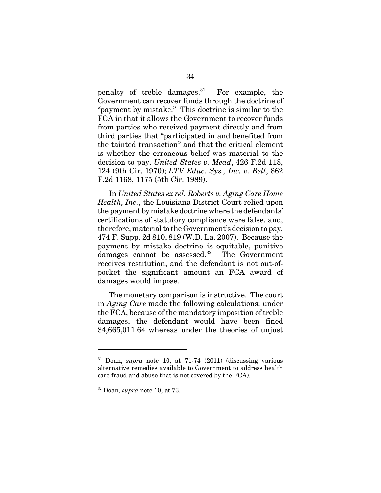penalty of treble damages. $31$  For example, the Government can recover funds through the doctrine of "payment by mistake." This doctrine is similar to the FCA in that it allows the Government to recover funds from parties who received payment directly and from third parties that "participated in and benefited from the tainted transaction" and that the critical element is whether the erroneous belief was material to the decision to pay. *United States v. Mead*, 426 F.2d 118, 124 (9th Cir. 1970); *LTV Educ. Sys., Inc. v. Bell*, 862 F.2d 1168, 1175 (5th Cir. 1989).

In *United States ex rel. Roberts v. Aging Care Home Health, Inc.*, the Louisiana District Court relied upon the payment by mistake doctrine where the defendants' certifications of statutory compliance were false, and, therefore, material to the Government's decision to pay. 474 F. Supp. 2d 810, 819 (W.D. La. 2007). Because the payment by mistake doctrine is equitable, punitive  $d$ amages cannot be assessed.<sup>32</sup> The Government receives restitution, and the defendant is not out-ofpocket the significant amount an FCA award of damages would impose.

The monetary comparison is instructive. The court in *Aging Care* made the following calculations: under the FCA, because of the mandatory imposition of treble damages, the defendant would have been fined \$4,665,011.64 whereas under the theories of unjust

<sup>31</sup> Doan, *supra* note 10, at 71-74 (2011) (discussing various alternative remedies available to Government to address health care fraud and abuse that is not covered by the FCA).

<sup>32</sup> Doan*, supra* note 10, at 73.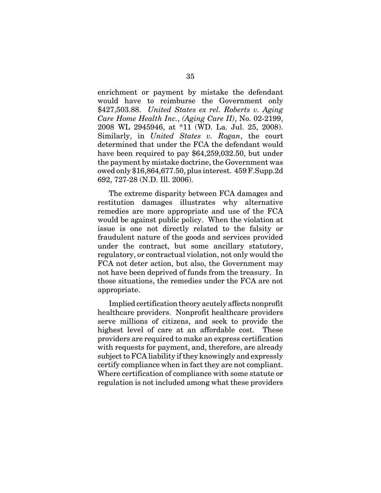enrichment or payment by mistake the defendant would have to reimburse the Government only \$427,503.88. *United States ex rel. Roberts v. Aging Care Home Health Inc.*, *(Aging Care II)*, No. 02-2199, 2008 WL 2945946, at \*11 (WD. La. Jul. 25, 2008). Similarly, in *United States v. Rogan*, the court determined that under the FCA the defendant would have been required to pay \$64,259,032.50, but under the payment by mistake doctrine, the Government was owed only \$16,864,677.50, plus interest. 459 F.Supp.2d 692, 727-28 (N.D. Ill. 2006).

The extreme disparity between FCA damages and restitution damages illustrates why alternative remedies are more appropriate and use of the FCA would be against public policy. When the violation at issue is one not directly related to the falsity or fraudulent nature of the goods and services provided under the contract, but some ancillary statutory, regulatory, or contractual violation, not only would the FCA not deter action, but also, the Government may not have been deprived of funds from the treasury. In those situations, the remedies under the FCA are not appropriate.

Implied certification theory acutely affects nonprofit healthcare providers. Nonprofit healthcare providers serve millions of citizens, and seek to provide the highest level of care at an affordable cost. These providers are required to make an express certification with requests for payment, and, therefore, are already subject to FCA liability if they knowingly and expressly certify compliance when in fact they are not compliant. Where certification of compliance with some statute or regulation is not included among what these providers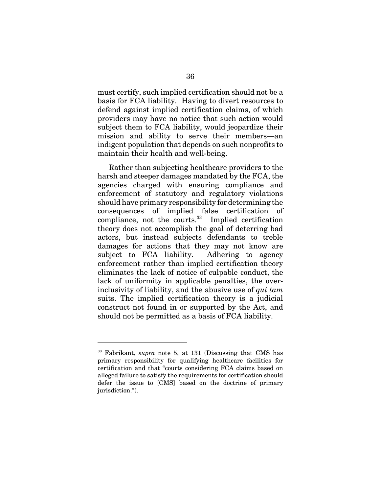must certify, such implied certification should not be a basis for FCA liability. Having to divert resources to defend against implied certification claims, of which providers may have no notice that such action would subject them to FCA liability, would jeopardize their mission and ability to serve their members—an indigent population that depends on such nonprofits to maintain their health and well-being.

Rather than subjecting healthcare providers to the harsh and steeper damages mandated by the FCA, the agencies charged with ensuring compliance and enforcement of statutory and regulatory violations should have primary responsibility for determining the consequences of implied false certification of  $compliance$ , not the courts. $33$  Implied certification theory does not accomplish the goal of deterring bad actors, but instead subjects defendants to treble damages for actions that they may not know are subject to FCA liability. Adhering to agency enforcement rather than implied certification theory eliminates the lack of notice of culpable conduct, the lack of uniformity in applicable penalties, the overinclusivity of liability, and the abusive use of *qui tam* suits. The implied certification theory is a judicial construct not found in or supported by the Act, and should not be permitted as a basis of FCA liability.

<sup>33</sup> Fabrikant, *supra* note 5, at 131 (Discussing that CMS has primary responsibility for qualifying healthcare facilities for certification and that "courts considering FCA claims based on alleged failure to satisfy the requirements for certification should defer the issue to [CMS] based on the doctrine of primary jurisdiction.").